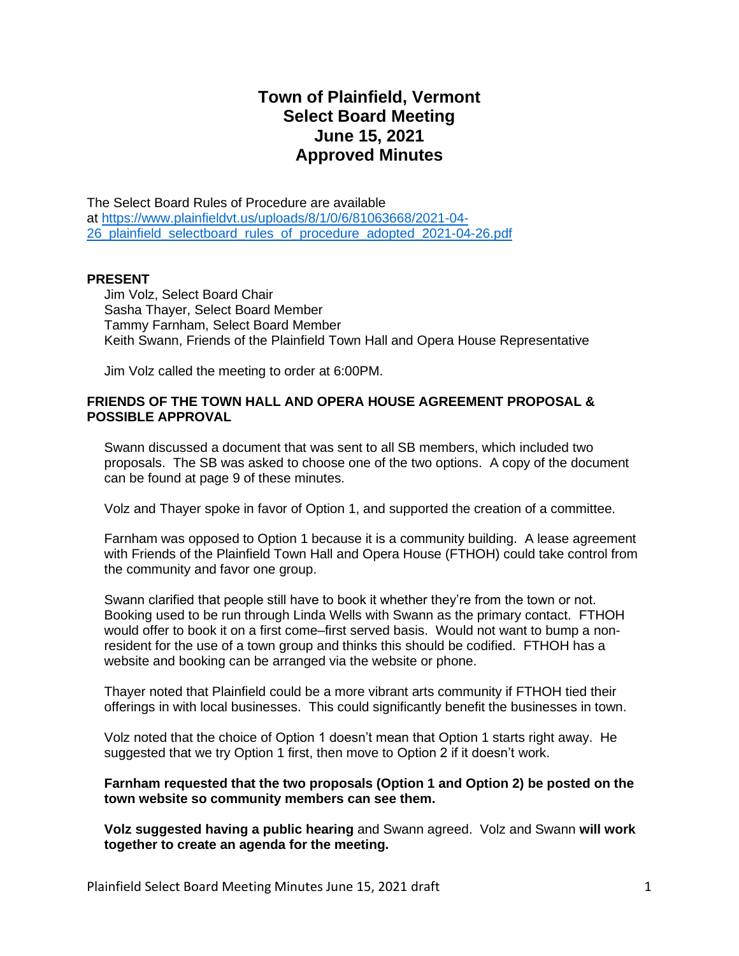# **Town of Plainfield, Vermont Select Board Meeting June 15, 2021 Approved Minutes**

The Select Board Rules of Procedure are available at [https://www.plainfieldvt.us/uploads/8/1/0/6/81063668/2021-04-](https://www.plainfieldvt.us/uploads/8/1/0/6/81063668/2021-04-26_plainfield_selectboard_rules_of_procedure_adopted_2021-04-26.pdf) 26 plainfield selectboard rules of procedure adopted 2021-04-26.pdf

#### **PRESENT**

Jim Volz, Select Board Chair Sasha Thayer, Select Board Member Tammy Farnham, Select Board Member Keith Swann, Friends of the Plainfield Town Hall and Opera House Representative

Jim Volz called the meeting to order at 6:00PM.

## **FRIENDS OF THE TOWN HALL AND OPERA HOUSE AGREEMENT PROPOSAL & POSSIBLE APPROVAL**

Swann discussed a document that was sent to all SB members, which included two proposals. The SB was asked to choose one of the two options. A copy of the document can be found at page 9 of these minutes.

Volz and Thayer spoke in favor of Option 1, and supported the creation of a committee.

Farnham was opposed to Option 1 because it is a community building. A lease agreement with Friends of the Plainfield Town Hall and Opera House (FTHOH) could take control from the community and favor one group.

Swann clarified that people still have to book it whether they're from the town or not. Booking used to be run through Linda Wells with Swann as the primary contact. FTHOH would offer to book it on a first come–first served basis. Would not want to bump a nonresident for the use of a town group and thinks this should be codified. FTHOH has a website and booking can be arranged via the website or phone.

Thayer noted that Plainfield could be a more vibrant arts community if FTHOH tied their offerings in with local businesses. This could significantly benefit the businesses in town.

Volz noted that the choice of Option 1 doesn't mean that Option 1 starts right away. He suggested that we try Option 1 first, then move to Option 2 if it doesn't work.

**Farnham requested that the two proposals (Option 1 and Option 2) be posted on the town website so community members can see them.** 

**Volz suggested having a public hearing** and Swann agreed. Volz and Swann **will work together to create an agenda for the meeting.**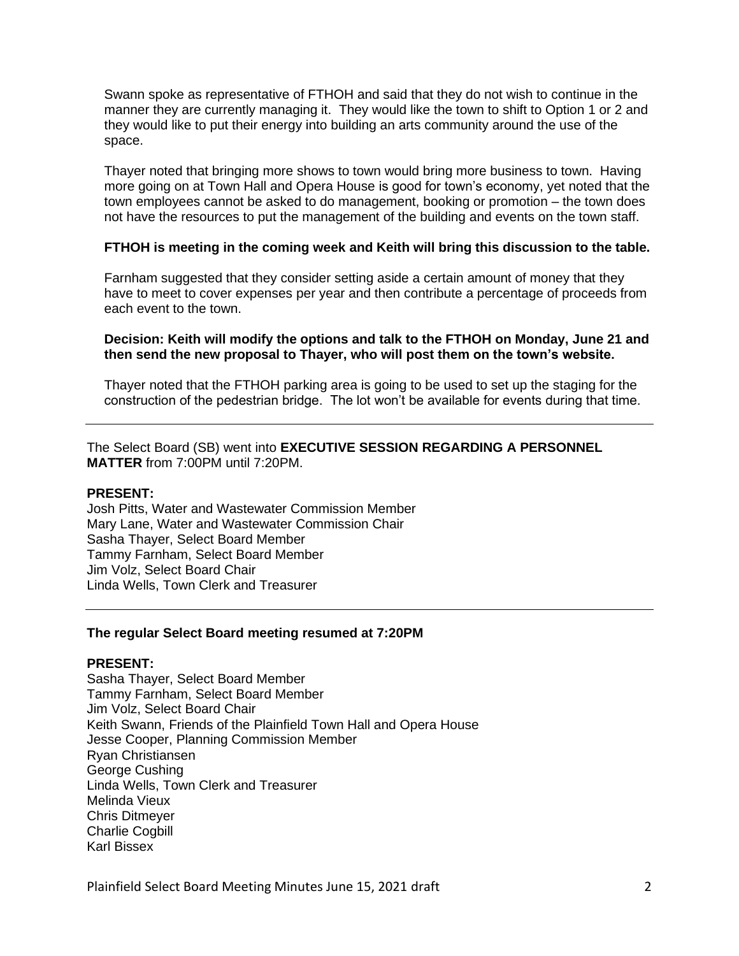Swann spoke as representative of FTHOH and said that they do not wish to continue in the manner they are currently managing it. They would like the town to shift to Option 1 or 2 and they would like to put their energy into building an arts community around the use of the space.

Thayer noted that bringing more shows to town would bring more business to town. Having more going on at Town Hall and Opera House is good for town's economy, yet noted that the town employees cannot be asked to do management, booking or promotion – the town does not have the resources to put the management of the building and events on the town staff.

#### **FTHOH is meeting in the coming week and Keith will bring this discussion to the table.**

Farnham suggested that they consider setting aside a certain amount of money that they have to meet to cover expenses per year and then contribute a percentage of proceeds from each event to the town.

#### **Decision: Keith will modify the options and talk to the FTHOH on Monday, June 21 and then send the new proposal to Thayer, who will post them on the town's website.**

Thayer noted that the FTHOH parking area is going to be used to set up the staging for the construction of the pedestrian bridge. The lot won't be available for events during that time.

The Select Board (SB) went into **EXECUTIVE SESSION REGARDING A PERSONNEL MATTER** from 7:00PM until 7:20PM.

## **PRESENT:**

Josh Pitts, Water and Wastewater Commission Member Mary Lane, Water and Wastewater Commission Chair Sasha Thayer, Select Board Member Tammy Farnham, Select Board Member Jim Volz, Select Board Chair Linda Wells, Town Clerk and Treasurer

#### **The regular Select Board meeting resumed at 7:20PM**

#### **PRESENT:**

Sasha Thayer, Select Board Member Tammy Farnham, Select Board Member Jim Volz, Select Board Chair Keith Swann, Friends of the Plainfield Town Hall and Opera House Jesse Cooper, Planning Commission Member Ryan Christiansen George Cushing Linda Wells, Town Clerk and Treasurer Melinda Vieux Chris Ditmeyer Charlie Cogbill Karl Bissex

Plainfield Select Board Meeting Minutes June 15, 2021 draft 2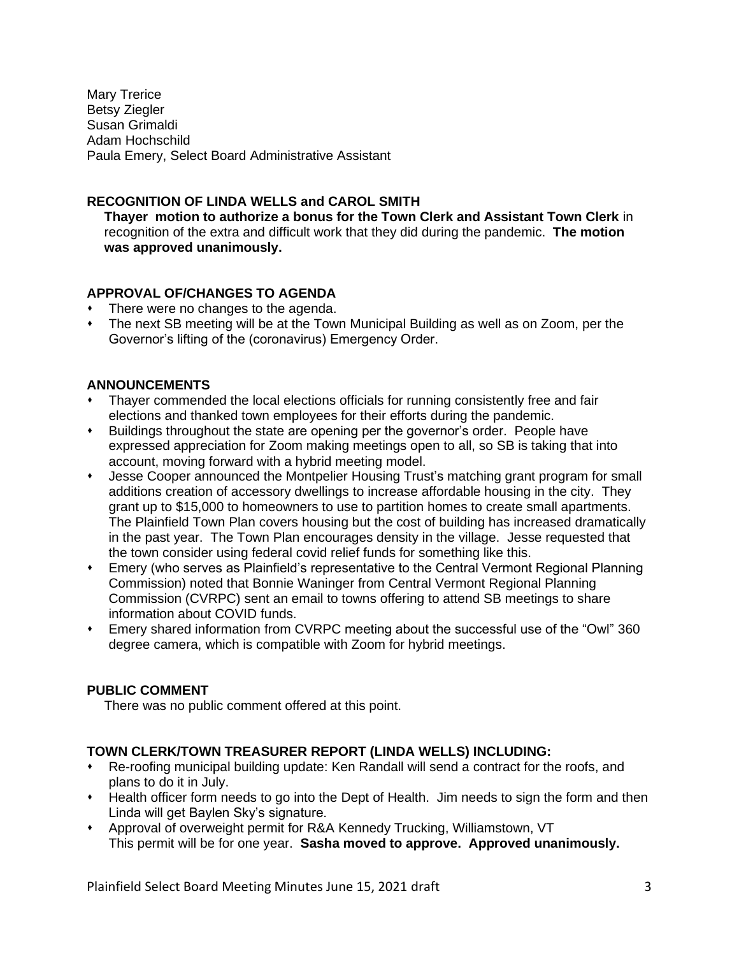Mary Trerice Betsy Ziegler Susan Grimaldi Adam Hochschild Paula Emery, Select Board Administrative Assistant

# **RECOGNITION OF LINDA WELLS and CAROL SMITH**

**Thayer motion to authorize a bonus for the Town Clerk and Assistant Town Clerk** in recognition of the extra and difficult work that they did during the pandemic. **The motion was approved unanimously.** 

# **APPROVAL OF/CHANGES TO AGENDA**

- There were no changes to the agenda.
- The next SB meeting will be at the Town Municipal Building as well as on Zoom, per the Governor's lifting of the (coronavirus) Emergency Order.

# **ANNOUNCEMENTS**

- ⬧ Thayer commended the local elections officials for running consistently free and fair elections and thanked town employees for their efforts during the pandemic.
- Buildings throughout the state are opening per the governor's order. People have expressed appreciation for Zoom making meetings open to all, so SB is taking that into account, moving forward with a hybrid meeting model.
- ⬧ Jesse Cooper announced the Montpelier Housing Trust's matching grant program for small additions creation of accessory dwellings to increase affordable housing in the city. They grant up to \$15,000 to homeowners to use to partition homes to create small apartments. The Plainfield Town Plan covers housing but the cost of building has increased dramatically in the past year. The Town Plan encourages density in the village. Jesse requested that the town consider using federal covid relief funds for something like this.
- ⬧ Emery (who serves as Plainfield's representative to the Central Vermont Regional Planning Commission) noted that Bonnie Waninger from Central Vermont Regional Planning Commission (CVRPC) sent an email to towns offering to attend SB meetings to share information about COVID funds.
- Emery shared information from CVRPC meeting about the successful use of the "Owl" 360 degree camera, which is compatible with Zoom for hybrid meetings.

# **PUBLIC COMMENT**

There was no public comment offered at this point.

# **TOWN CLERK/TOWN TREASURER REPORT (LINDA WELLS) INCLUDING:**

- ⬧ Re-roofing municipal building update: Ken Randall will send a contract for the roofs, and plans to do it in July.
- ⬧ Health officer form needs to go into the Dept of Health. Jim needs to sign the form and then Linda will get Baylen Sky's signature.
- ⬧ Approval of overweight permit for R&A Kennedy Trucking, Williamstown, VT This permit will be for one year. **Sasha moved to approve. Approved unanimously.**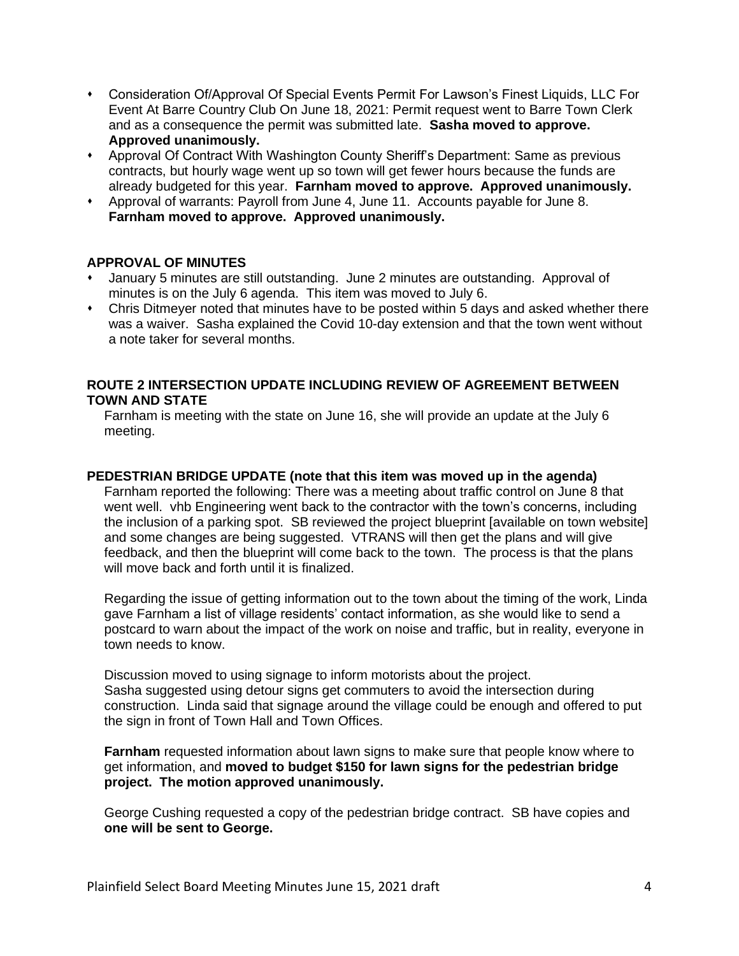- ⬧ Consideration Of/Approval Of Special Events Permit For Lawson's Finest Liquids, LLC For Event At Barre Country Club On June 18, 2021: Permit request went to Barre Town Clerk and as a consequence the permit was submitted late. **Sasha moved to approve. Approved unanimously.**
- ⬧ Approval Of Contract With Washington County Sheriff's Department: Same as previous contracts, but hourly wage went up so town will get fewer hours because the funds are already budgeted for this year. **Farnham moved to approve. Approved unanimously.**
- ⬧ Approval of warrants: Payroll from June 4, June 11. Accounts payable for June 8. **Farnham moved to approve. Approved unanimously.**

#### **APPROVAL OF MINUTES**

- January 5 minutes are still outstanding. June 2 minutes are outstanding. Approval of minutes is on the July 6 agenda. This item was moved to July 6.
- ⬧ Chris Ditmeyer noted that minutes have to be posted within 5 days and asked whether there was a waiver. Sasha explained the Covid 10-day extension and that the town went without a note taker for several months.

# **ROUTE 2 INTERSECTION UPDATE INCLUDING REVIEW OF AGREEMENT BETWEEN TOWN AND STATE**

Farnham is meeting with the state on June 16, she will provide an update at the July 6 meeting.

#### **PEDESTRIAN BRIDGE UPDATE (note that this item was moved up in the agenda)**

Farnham reported the following: There was a meeting about traffic control on June 8 that went well. vhb Engineering went back to the contractor with the town's concerns, including the inclusion of a parking spot. SB reviewed the project blueprint [available on town website] and some changes are being suggested. VTRANS will then get the plans and will give feedback, and then the blueprint will come back to the town. The process is that the plans will move back and forth until it is finalized.

Regarding the issue of getting information out to the town about the timing of the work, Linda gave Farnham a list of village residents' contact information, as she would like to send a postcard to warn about the impact of the work on noise and traffic, but in reality, everyone in town needs to know.

Discussion moved to using signage to inform motorists about the project. Sasha suggested using detour signs get commuters to avoid the intersection during construction. Linda said that signage around the village could be enough and offered to put the sign in front of Town Hall and Town Offices.

**Farnham** requested information about lawn signs to make sure that people know where to get information, and **moved to budget \$150 for lawn signs for the pedestrian bridge project. The motion approved unanimously.**

George Cushing requested a copy of the pedestrian bridge contract. SB have copies and **one will be sent to George.**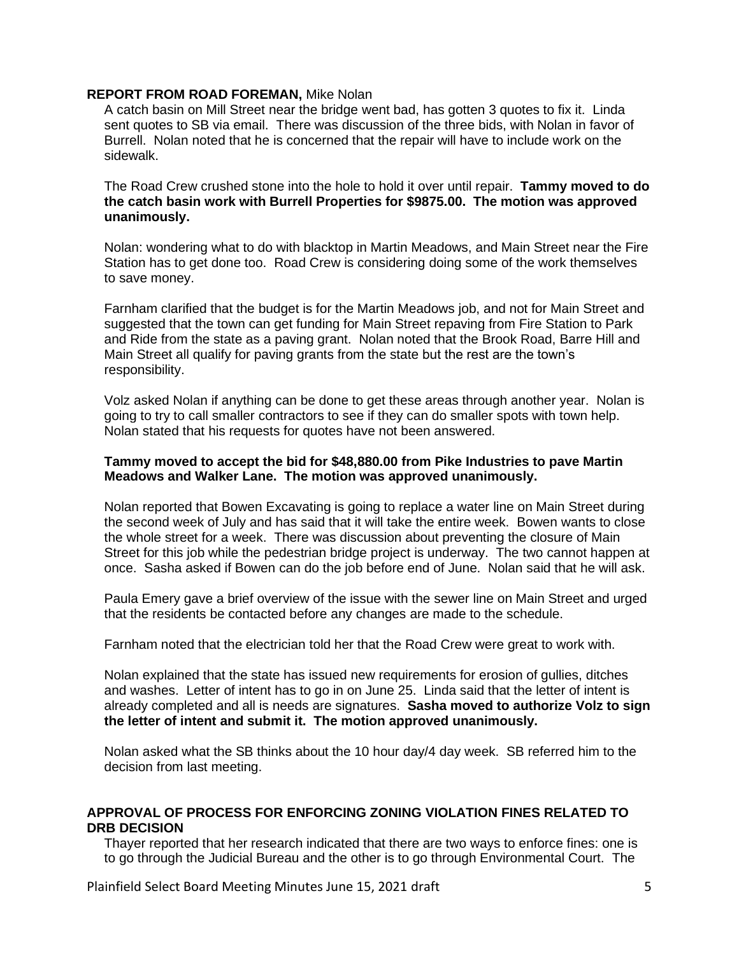#### **REPORT FROM ROAD FOREMAN,** Mike Nolan

A catch basin on Mill Street near the bridge went bad, has gotten 3 quotes to fix it. Linda sent quotes to SB via email. There was discussion of the three bids, with Nolan in favor of Burrell. Nolan noted that he is concerned that the repair will have to include work on the sidewalk.

The Road Crew crushed stone into the hole to hold it over until repair. **Tammy moved to do the catch basin work with Burrell Properties for \$9875.00. The motion was approved unanimously.** 

Nolan: wondering what to do with blacktop in Martin Meadows, and Main Street near the Fire Station has to get done too. Road Crew is considering doing some of the work themselves to save money.

Farnham clarified that the budget is for the Martin Meadows job, and not for Main Street and suggested that the town can get funding for Main Street repaving from Fire Station to Park and Ride from the state as a paving grant. Nolan noted that the Brook Road, Barre Hill and Main Street all qualify for paving grants from the state but the rest are the town's responsibility.

Volz asked Nolan if anything can be done to get these areas through another year. Nolan is going to try to call smaller contractors to see if they can do smaller spots with town help. Nolan stated that his requests for quotes have not been answered.

#### **Tammy moved to accept the bid for \$48,880.00 from Pike Industries to pave Martin Meadows and Walker Lane. The motion was approved unanimously.**

Nolan reported that Bowen Excavating is going to replace a water line on Main Street during the second week of July and has said that it will take the entire week. Bowen wants to close the whole street for a week. There was discussion about preventing the closure of Main Street for this job while the pedestrian bridge project is underway. The two cannot happen at once. Sasha asked if Bowen can do the job before end of June. Nolan said that he will ask.

Paula Emery gave a brief overview of the issue with the sewer line on Main Street and urged that the residents be contacted before any changes are made to the schedule.

Farnham noted that the electrician told her that the Road Crew were great to work with.

Nolan explained that the state has issued new requirements for erosion of gullies, ditches and washes. Letter of intent has to go in on June 25. Linda said that the letter of intent is already completed and all is needs are signatures. **Sasha moved to authorize Volz to sign the letter of intent and submit it. The motion approved unanimously.** 

Nolan asked what the SB thinks about the 10 hour day/4 day week. SB referred him to the decision from last meeting.

# **APPROVAL OF PROCESS FOR ENFORCING ZONING VIOLATION FINES RELATED TO DRB DECISION**

Thayer reported that her research indicated that there are two ways to enforce fines: one is to go through the Judicial Bureau and the other is to go through Environmental Court. The

Plainfield Select Board Meeting Minutes June 15, 2021 draft 5 5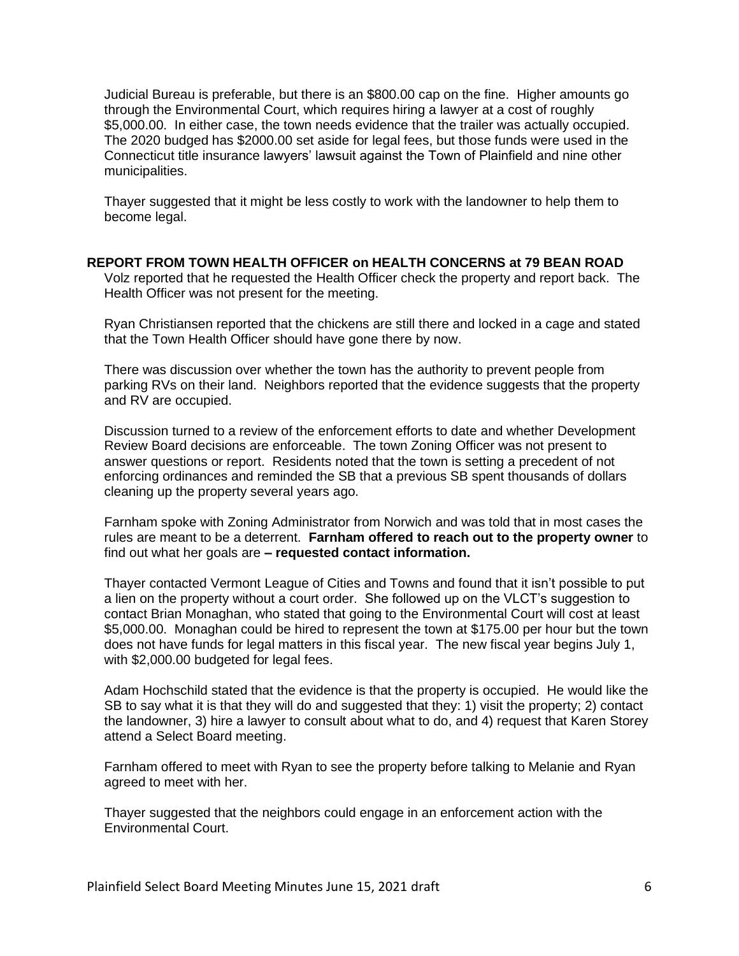Judicial Bureau is preferable, but there is an \$800.00 cap on the fine. Higher amounts go through the Environmental Court, which requires hiring a lawyer at a cost of roughly \$5,000.00. In either case, the town needs evidence that the trailer was actually occupied. The 2020 budged has \$2000.00 set aside for legal fees, but those funds were used in the Connecticut title insurance lawyers' lawsuit against the Town of Plainfield and nine other municipalities.

Thayer suggested that it might be less costly to work with the landowner to help them to become legal.

#### **REPORT FROM TOWN HEALTH OFFICER on HEALTH CONCERNS at 79 BEAN ROAD**

Volz reported that he requested the Health Officer check the property and report back. The Health Officer was not present for the meeting.

Ryan Christiansen reported that the chickens are still there and locked in a cage and stated that the Town Health Officer should have gone there by now.

There was discussion over whether the town has the authority to prevent people from parking RVs on their land. Neighbors reported that the evidence suggests that the property and RV are occupied.

Discussion turned to a review of the enforcement efforts to date and whether Development Review Board decisions are enforceable. The town Zoning Officer was not present to answer questions or report. Residents noted that the town is setting a precedent of not enforcing ordinances and reminded the SB that a previous SB spent thousands of dollars cleaning up the property several years ago.

Farnham spoke with Zoning Administrator from Norwich and was told that in most cases the rules are meant to be a deterrent. **Farnham offered to reach out to the property owner** to find out what her goals are **– requested contact information.**

Thayer contacted Vermont League of Cities and Towns and found that it isn't possible to put a lien on the property without a court order. She followed up on the VLCT's suggestion to contact Brian Monaghan, who stated that going to the Environmental Court will cost at least \$5,000.00. Monaghan could be hired to represent the town at \$175.00 per hour but the town does not have funds for legal matters in this fiscal year. The new fiscal year begins July 1, with \$2,000.00 budgeted for legal fees.

Adam Hochschild stated that the evidence is that the property is occupied. He would like the SB to say what it is that they will do and suggested that they: 1) visit the property; 2) contact the landowner, 3) hire a lawyer to consult about what to do, and 4) request that Karen Storey attend a Select Board meeting.

Farnham offered to meet with Ryan to see the property before talking to Melanie and Ryan agreed to meet with her.

Thayer suggested that the neighbors could engage in an enforcement action with the Environmental Court.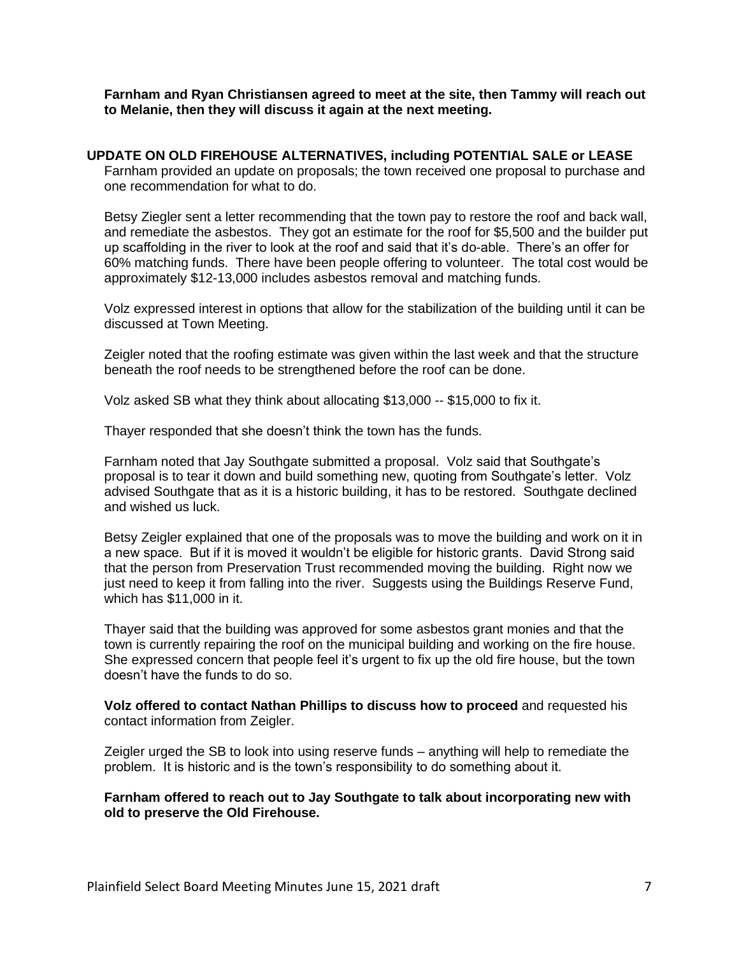**Farnham and Ryan Christiansen agreed to meet at the site, then Tammy will reach out to Melanie, then they will discuss it again at the next meeting.**

# **UPDATE ON OLD FIREHOUSE ALTERNATIVES, including POTENTIAL SALE or LEASE**

Farnham provided an update on proposals; the town received one proposal to purchase and one recommendation for what to do.

Betsy Ziegler sent a letter recommending that the town pay to restore the roof and back wall, and remediate the asbestos. They got an estimate for the roof for \$5,500 and the builder put up scaffolding in the river to look at the roof and said that it's do-able. There's an offer for 60% matching funds. There have been people offering to volunteer. The total cost would be approximately \$12-13,000 includes asbestos removal and matching funds.

Volz expressed interest in options that allow for the stabilization of the building until it can be discussed at Town Meeting.

Zeigler noted that the roofing estimate was given within the last week and that the structure beneath the roof needs to be strengthened before the roof can be done.

Volz asked SB what they think about allocating \$13,000 -- \$15,000 to fix it.

Thayer responded that she doesn't think the town has the funds.

Farnham noted that Jay Southgate submitted a proposal. Volz said that Southgate's proposal is to tear it down and build something new, quoting from Southgate's letter. Volz advised Southgate that as it is a historic building, it has to be restored. Southgate declined and wished us luck.

Betsy Zeigler explained that one of the proposals was to move the building and work on it in a new space. But if it is moved it wouldn't be eligible for historic grants. David Strong said that the person from Preservation Trust recommended moving the building. Right now we just need to keep it from falling into the river. Suggests using the Buildings Reserve Fund, which has \$11,000 in it.

Thayer said that the building was approved for some asbestos grant monies and that the town is currently repairing the roof on the municipal building and working on the fire house. She expressed concern that people feel it's urgent to fix up the old fire house, but the town doesn't have the funds to do so.

**Volz offered to contact Nathan Phillips to discuss how to proceed** and requested his contact information from Zeigler.

Zeigler urged the SB to look into using reserve funds – anything will help to remediate the problem. It is historic and is the town's responsibility to do something about it.

**Farnham offered to reach out to Jay Southgate to talk about incorporating new with old to preserve the Old Firehouse.**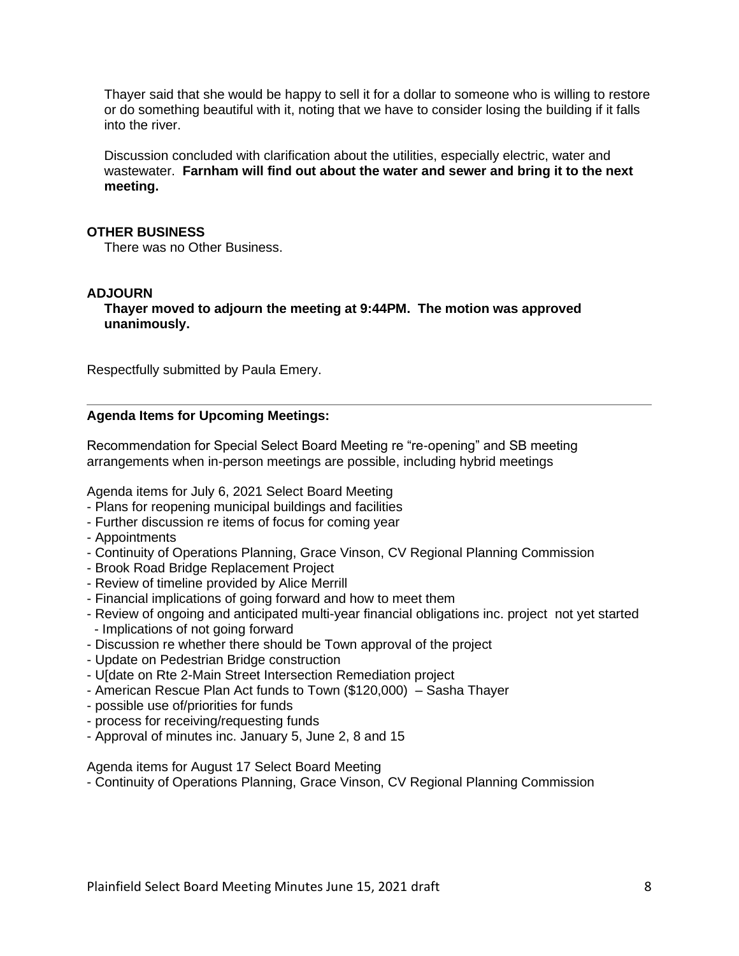Thayer said that she would be happy to sell it for a dollar to someone who is willing to restore or do something beautiful with it, noting that we have to consider losing the building if it falls into the river.

Discussion concluded with clarification about the utilities, especially electric, water and wastewater. **Farnham will find out about the water and sewer and bring it to the next meeting.** 

#### **OTHER BUSINESS**

There was no Other Business.

#### **ADJOURN**

**Thayer moved to adjourn the meeting at 9:44PM. The motion was approved unanimously.** 

Respectfully submitted by Paula Emery.

#### **Agenda Items for Upcoming Meetings:**

Recommendation for Special Select Board Meeting re "re-opening" and SB meeting arrangements when in-person meetings are possible, including hybrid meetings

Agenda items for July 6, 2021 Select Board Meeting

- Plans for reopening municipal buildings and facilities
- Further discussion re items of focus for coming year
- Appointments
- Continuity of Operations Planning, Grace Vinson, CV Regional Planning Commission
- Brook Road Bridge Replacement Project
- Review of timeline provided by Alice Merrill
- Financial implications of going forward and how to meet them
- Review of ongoing and anticipated multi-year financial obligations inc. project not yet started - Implications of not going forward
- Discussion re whether there should be Town approval of the project
- Update on Pedestrian Bridge construction
- U[date on Rte 2-Main Street Intersection Remediation project
- American Rescue Plan Act funds to Town (\$120,000) Sasha Thayer
- possible use of/priorities for funds
- process for receiving/requesting funds
- Approval of minutes inc. January 5, June 2, 8 and 15

Agenda items for August 17 Select Board Meeting

- Continuity of Operations Planning, Grace Vinson, CV Regional Planning Commission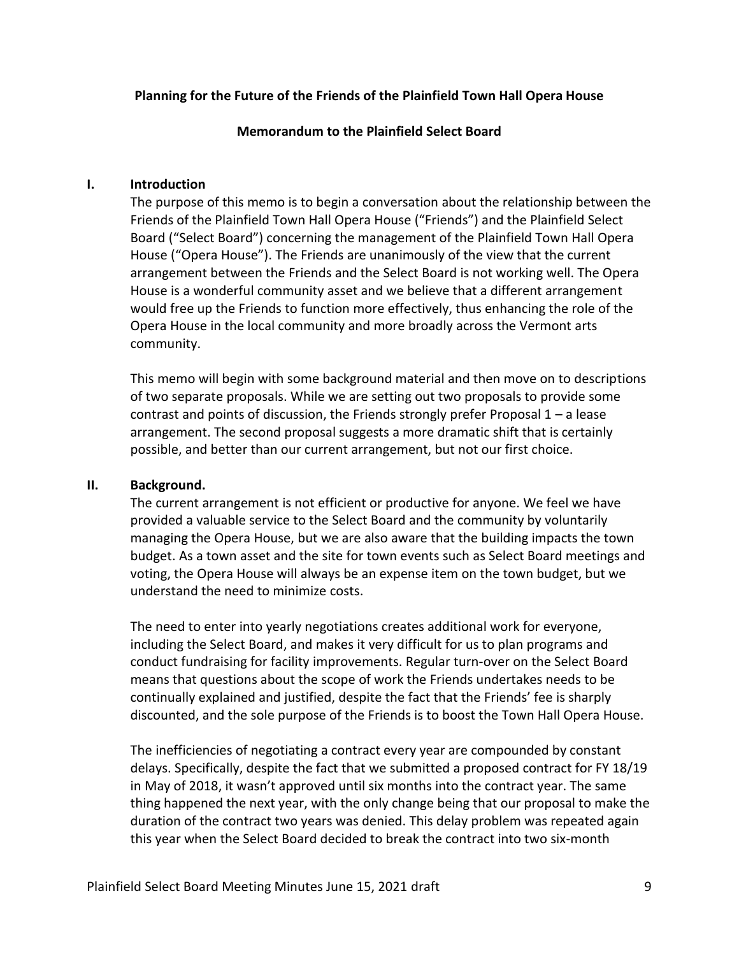# **Planning for the Future of the Friends of the Plainfield Town Hall Opera House**

#### **Memorandum to the Plainfield Select Board**

#### **I. Introduction**

The purpose of this memo is to begin a conversation about the relationship between the Friends of the Plainfield Town Hall Opera House ("Friends") and the Plainfield Select Board ("Select Board") concerning the management of the Plainfield Town Hall Opera House ("Opera House"). The Friends are unanimously of the view that the current arrangement between the Friends and the Select Board is not working well. The Opera House is a wonderful community asset and we believe that a different arrangement would free up the Friends to function more effectively, thus enhancing the role of the Opera House in the local community and more broadly across the Vermont arts community.

This memo will begin with some background material and then move on to descriptions of two separate proposals. While we are setting out two proposals to provide some contrast and points of discussion, the Friends strongly prefer Proposal  $1 - a$  lease arrangement. The second proposal suggests a more dramatic shift that is certainly possible, and better than our current arrangement, but not our first choice.

## **II. Background.**

The current arrangement is not efficient or productive for anyone. We feel we have provided a valuable service to the Select Board and the community by voluntarily managing the Opera House, but we are also aware that the building impacts the town budget. As a town asset and the site for town events such as Select Board meetings and voting, the Opera House will always be an expense item on the town budget, but we understand the need to minimize costs.

The need to enter into yearly negotiations creates additional work for everyone, including the Select Board, and makes it very difficult for us to plan programs and conduct fundraising for facility improvements. Regular turn-over on the Select Board means that questions about the scope of work the Friends undertakes needs to be continually explained and justified, despite the fact that the Friends' fee is sharply discounted, and the sole purpose of the Friends is to boost the Town Hall Opera House.

The inefficiencies of negotiating a contract every year are compounded by constant delays. Specifically, despite the fact that we submitted a proposed contract for FY 18/19 in May of 2018, it wasn't approved until six months into the contract year. The same thing happened the next year, with the only change being that our proposal to make the duration of the contract two years was denied. This delay problem was repeated again this year when the Select Board decided to break the contract into two six-month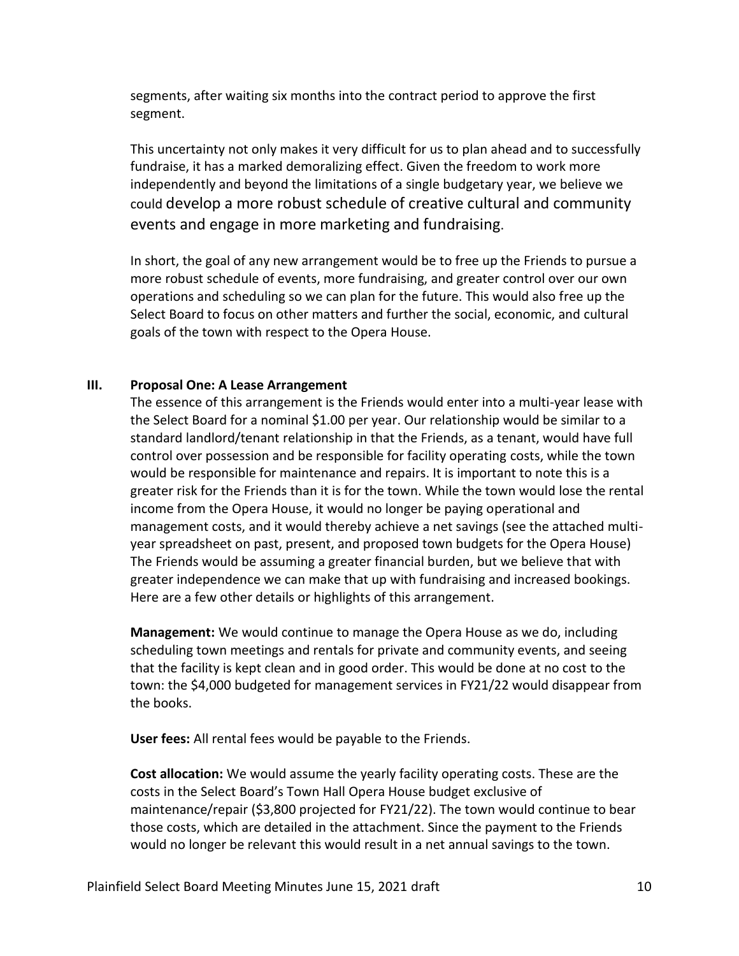segments, after waiting six months into the contract period to approve the first segment.

This uncertainty not only makes it very difficult for us to plan ahead and to successfully fundraise, it has a marked demoralizing effect. Given the freedom to work more independently and beyond the limitations of a single budgetary year, we believe we could develop a more robust schedule of creative cultural and community events and engage in more marketing and fundraising.

In short, the goal of any new arrangement would be to free up the Friends to pursue a more robust schedule of events, more fundraising, and greater control over our own operations and scheduling so we can plan for the future. This would also free up the Select Board to focus on other matters and further the social, economic, and cultural goals of the town with respect to the Opera House.

# **III. Proposal One: A Lease Arrangement**

The essence of this arrangement is the Friends would enter into a multi-year lease with the Select Board for a nominal \$1.00 per year. Our relationship would be similar to a standard landlord/tenant relationship in that the Friends, as a tenant, would have full control over possession and be responsible for facility operating costs, while the town would be responsible for maintenance and repairs. It is important to note this is a greater risk for the Friends than it is for the town. While the town would lose the rental income from the Opera House, it would no longer be paying operational and management costs, and it would thereby achieve a net savings (see the attached multiyear spreadsheet on past, present, and proposed town budgets for the Opera House) The Friends would be assuming a greater financial burden, but we believe that with greater independence we can make that up with fundraising and increased bookings. Here are a few other details or highlights of this arrangement.

**Management:** We would continue to manage the Opera House as we do, including scheduling town meetings and rentals for private and community events, and seeing that the facility is kept clean and in good order. This would be done at no cost to the town: the \$4,000 budgeted for management services in FY21/22 would disappear from the books.

**User fees:** All rental fees would be payable to the Friends.

**Cost allocation:** We would assume the yearly facility operating costs. These are the costs in the Select Board's Town Hall Opera House budget exclusive of maintenance/repair (\$3,800 projected for FY21/22). The town would continue to bear those costs, which are detailed in the attachment. Since the payment to the Friends would no longer be relevant this would result in a net annual savings to the town.